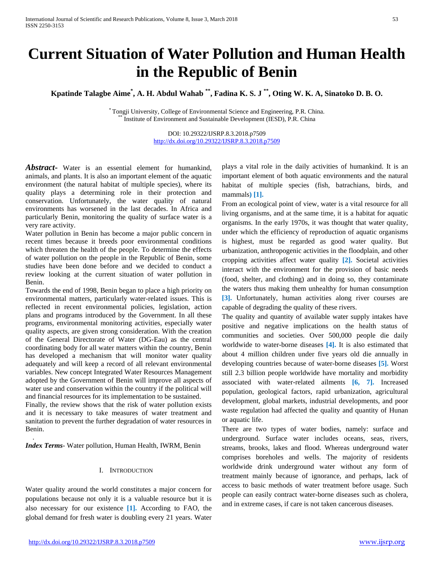# **Current Situation of Water Pollution and Human Health in the Republic of Benin**

**Kpatinde Talagbe Aime\* , A. H. Abdul Wahab \*\*, Fadina K. S. J \*\*, Oting W. K. A, Sinatoko D. B. O.**

\* Tongji University, College of Environmental Science and Engineering, P.R. China. \*\* Institute of Environment and Sustainable Development (IESD), P.R. China

DOI: 10.29322/IJSRP.8.3.2018.p7509 <http://dx.doi.org/10.29322/IJSRP.8.3.2018.p7509>

*Abstract***-** Water is an essential element for humankind, animals, and plants. It is also an important element of the aquatic environment (the natural habitat of multiple species), where its quality plays a determining role in their protection and conservation. Unfortunately, the water quality of natural environments has worsened in the last decades. In Africa and particularly Benin, monitoring the quality of surface water is a very rare activity.

Water pollution in Benin has become a major public concern in recent times because it breeds poor environmental conditions which threaten the health of the people. To determine the effects of water pollution on the people in the Republic of Benin, some studies have been done before and we decided to conduct a review looking at the current situation of water pollution in Benin.

Towards the end of 1998, Benin began to place a high priority on environmental matters, particularly water-related issues. This is reflected in recent environmental policies, legislation, action plans and programs introduced by the Government. In all these programs, environmental monitoring activities, especially water quality aspects, are given strong consideration. With the creation of the General Directorate of Water (DG-Eau) as the central coordinating body for all water matters within the country, Benin has developed a mechanism that will monitor water quality adequately and will keep a record of all relevant environmental variables. New concept Integrated Water Resources Management adopted by the Government of Benin will improve all aspects of water use and conservation within the country if the political will and financial resources for its implementation to be sustained.

Finally, the review shows that the risk of water pollution exists and it is necessary to take measures of water treatment and sanitation to prevent the further degradation of water resources in Benin.

*Index Terms*- Water pollution, Human Health, IWRM, Benin

## I. INTRODUCTION

<span id="page-0-0"></span>Water quality around the world constitutes a major concern for populations because not only it is a valuable resource but it is also necessary for our existence **[1].** According to FAO, the global demand for fresh water is doubling every 21 years. Water plays a vital role in the daily activities of humankind. It is an important element of both aquatic environments and the natural habitat of multiple species (fish, batrachians, birds, and mammals**) [1].**

From an ecological point of view, water is a vital resource for all living organisms, and at the same time, it is a habitat for aquatic organisms. In the early 1970s, it was thought that water quality, under which the efficiency of reproduction of aquatic organisms is highest, must be regarded as good water quality. But urbanization, anthropogenic activities in the floodplain, and other cropping activities affect water quality **[2].** Societal activities interact with the environment for the provision of basic needs (food, shelter, and clothing) and in doing so, they contaminate the waters thus making them unhealthy for human consumption **[3].** Unfortunately, human activities along river courses are capable of degrading the quality of these rivers.

The quality and quantity of available water supply intakes have positive and negative implications on the health status of communities and societies. Over 500,000 people die daily worldwide to water-borne diseases **[4].** It is also estimated that about 4 million children under five years old die annually in developing countries because of water-borne diseases **[5].** Worst still 2.3 billion people worldwide have mortality and morbidity associated with water-related ailments **[6, 7].** Increased population, geological factors, rapid urbanization, agricultural development, global markets, industrial developments, and poor waste regulation had affected the quality and quantity of Hunan or aquatic life.

There are two types of water bodies, namely: surface and underground. Surface water includes oceans, seas, rivers, streams, brooks, lakes and flood. Whereas underground water comprises boreholes and wells. The majority of residents worldwide drink underground water without any form of treatment mainly because of ignorance, and perhaps, lack of access to basic methods of water treatment before usage. Such people can easily contract water-borne diseases such as cholera, and in extreme cases, if care is not taken cancerous diseases.

.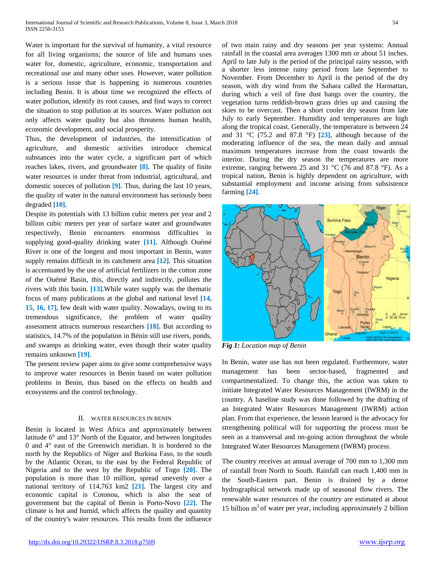Water is important for the survival of humanity, a vital resource for all living organisms; the source of life and humans uses water for, domestic, agriculture, economic, transportation and recreational use and many other uses. However, water pollution is a serious issue that is happening in numerous countries including Benin. It is about time we recognized the effects of water pollution, identify its root causes, and find ways to correct the situation to stop pollution at its sources. Water pollution not only affects water quality but also threatens human health, economic development, and social prosperity.

Thus, the development of industries, the intensification of agriculture, and domestic activities introduce chemical substances into the water cycle, a significant part of which reaches lakes, rivers, and groundwater **[8].** The quality of finite water resources is under threat from industrial, agricultural, and domestic sources of pollution **[9].** Thus, during the last 10 years, the quality of water in the natural environment has seriously been degraded **[10].**

Despite its potentials with 13 billion cubic meters per year and 2 billion cubic meters per year of surface water and groundwater respectively, Benin encounters enormous difficulties in supplying good-quality drinking water **[11].** Although Ouémé River is one of the longest and most important in Benin, water supply remains difficult in its catchment area **[12].** This situation is accentuated by the use of artificial fertilizers in the cotton zone of the Ouémé Basin, this, directly and indirectly, pollutes the rivers with this basin. **[13].**While water supply was the thematic focus of many publications at the global and national level **[14, 15, 16, 17],** few dealt with water quality. Nowadays, owing to its tremendous significance, the problem of water quality assessment attracts numerous researchers **[18].** But according to statistics, 14.7% of the population in Bénin still use rivers, ponds, and swamps as drinking water, even though their water quality remains unknown **[19].**

The present review paper aims to give some comprehensive ways to improve water resources in Benin based on water pollution problems in Benin, thus based on the effects on health and ecosystems and the control technology.

#### II. WATER RESOURCES IN BENIN

Benin is located in West Africa and approximately between latitude 6° and 13° North of the Equator, and between longitudes 0 and 4° east of the Greenwich meridian. It is bordered to the north by the Republics of Niger and Burkina Faso, to the south by the Atlantic Ocean, to the east by the Federal Republic of Nigeria and to the west by the Republic of Togo **[20].** The population is more than 10 million, spread unevenly over a national territory of 114,763 km2 **[21].** The largest city and economic capital is Cotonou, which is also the seat of government but the capital of Benin is Porto-Novo **[22].** The climate is hot and humid, which affects the quality and quantity of the country's water resources. This results from the influence of two main rainy and dry seasons per year systems: Annual rainfall in the coastal area averages 1300 mm or about 51 inches. April to late July is the period of the principal rainy season, with a shorter less intense rainy period from late September to November. From December to April is the period of the dry season, with dry wind from the Sahara called the Harmattan, during which a veil of fine dust hangs over the country, the vegetation turns reddish-brown grass dries up and causing the skies to be overcast. Then a short cooler dry season from late July to early September. Humidity and temperatures are high along the tropical coast. Generally, the temperature is between 24 and 31 °C (75.2 and 87.8 °F) **[23],** although because of the moderating influence of the sea, the mean daily and annual maximum temperatures increase from the coast towards the interior. During the dry season the temperatures are more extreme, ranging between 25 and 31 °C (76 and 87.8 °F). As a tropical nation, Benin is highly dependent on agriculture, with substantial employment and income arising from subsistence farming **[24].**



*Fig 1: Location map of Benin*

In Benin, water use has not been regulated. Furthermore, water management has been sector-based, fragmented and compartmentalized. To change this, the action was taken to initiate Integrated Water Resources Management (IWRM) in the country. A baseline study was done followed by the drafting of an Integrated Water Resources Management (IWRM) action plan. From that experience, the lesson learned is the advocacy for strengthening political will for supporting the process must be seen as a transversal and on-going action throughout the whole Integrated Water Resources Management (IWRM) process.

The country receives an annual average of 700 mm to 1,300 mm of rainfall from North to South. Rainfall can reach 1,400 mm in the South-Eastern part. Benin is drained by a dense hydrographical network made up of seasonal flow rivers. The renewable water resources of the country are estimated at about 15 billion  $m<sup>3</sup>$  of water per year, including approximately 2 billion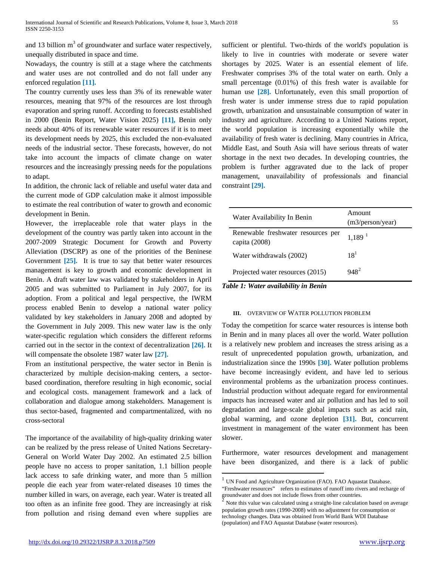and 13 billion  $m<sup>3</sup>$  of groundwater and surface water respectively, unequally distributed in space and time.

Nowadays, the country is still at a stage where the catchments and water uses are not controlled and do not fall under any enforced regulation **[11].**

The country currently uses less than 3% of its renewable water resources, meaning that 97% of the resources are lost through evaporation and spring runoff. According to forecasts established in 2000 (Benin Report, Water Vision 2025) **[11],** Benin only needs about 40% of its renewable water resources if it is to meet its development needs by 2025, this excluded the non-evaluated needs of the industrial sector. These forecasts, however, do not take into account the impacts of climate change on water resources and the increasingly pressing needs for the populations to adapt.

In addition, the chronic lack of reliable and useful water data and the current mode of GDP calculation make it almost impossible to estimate the real contribution of water to growth and economic development in Benin.

However, the irreplaceable role that water plays in the development of the country was partly taken into account in the 2007-2009 Strategic Document for Growth and Poverty Alleviation (DSCRP) as one of the priorities of the Beninese Government [25]. It is true to say that better water resources management is key to growth and economic development in Benin. A draft water law was validated by stakeholders in April 2005 and was submitted to Parliament in July 2007, for its adoption. From a political and legal perspective, the IWRM process enabled Benin to develop a national water policy validated by key stakeholders in January 2008 and adopted by the Government in July 2009. This new water law is the only water-specific regulation which considers the different reforms carried out in the sector in the context of decentralization **[26].** It will compensate the obsolete 1987 water law **[27].**

From an institutional perspective, the water sector in Benin is characterized by multiple decision-making centers, a sectorbased coordination, therefore resulting in high economic, social and ecological costs. management framework and a lack of collaboration and dialogue among stakeholders. Management is thus sector-based, fragmented and compartmentalized, with no cross-sectoral

<span id="page-2-1"></span><span id="page-2-0"></span>The importance of the availability of high-quality drinking water can be realized by the press release of United Nations Secretary-General on World Water Day 2002. An estimated 2.5 billion people have no access to proper sanitation, 1.1 billion people lack access to safe drinking water, and more than 5 million people die each year from water-related diseases 10 times the number killed in wars, on average, each year. Water is treated all too often as an infinite free good. They are increasingly at risk from pollution and rising demand even where supplies are sufficient or plentiful. Two-thirds of the world's population is likely to live in countries with moderate or severe water shortages by 2025. Water is an essential element of life. Freshwater comprises 3% of the total water on earth. Only a small percentage (0.01%) of this fresh water is available for human use [28]. Unfortunately, even this small proportion of fresh water is under immense stress due to rapid population growth, urbanization and unsustainable consumption of water in industry and agriculture. According to a United Nations report, the world population is increasing exponentially while the availability of fresh water is declining. Many countries in Africa, Middle East, and South Asia will have serious threats of water shortage in the next two decades. In developing countries, the problem is further aggravated due to the lack of proper management, unavailability of professionals and financial constraint **[29].**

| Water Availability In Benin                           | Amount<br>(m3/person/year) |
|-------------------------------------------------------|----------------------------|
| Renewable freshwater resources per<br>capita $(2008)$ | $1,189$ <sup>1</sup>       |
| Water withdrawals (2002)                              | 18 <sup>1</sup>            |
| Projected water resources (2015)                      | $948^2$                    |

*Table 1: Water availability in Benin*

#### **III.** OVERVIEW OF WATER POLLUTION PROBLEM

Today the competition for scarce water resources is intense both in Benin and in many places all over the world. Water pollution is a relatively new problem and increases the stress arising as a result of unprecedented population growth, urbanization, and industrialization since the 1990s **[30].** Water pollution problems have become increasingly evident, and have led to serious environmental problems as the urbanization process continues. Industrial production without adequate regard for environmental impacts has increased water and air pollution and has led to soil degradation and large-scale global impacts such as acid rain, global warming, and ozone depletion **[31].** But, concurrent investment in management of the water environment has been slower.

Furthermore, water resources development and management have been disorganized, and there is a lack of public

 $^{1}$  UN Food and Agriculture Organization (FAO). FAO Aquastat Database.

<sup>&</sup>quot;Freshwater resources" refers to estimates of runoff into rivers and recharge of groundwater and does not include flows from other countries.

<sup>2</sup> Note this value was calculated using a straight‐line calculation based on average population growth rates (1990‐2008) with no adjustment for consumption or technology changes. Data was obtained from World Bank WDI Database (population) and FAO Aquastat Database (water resources).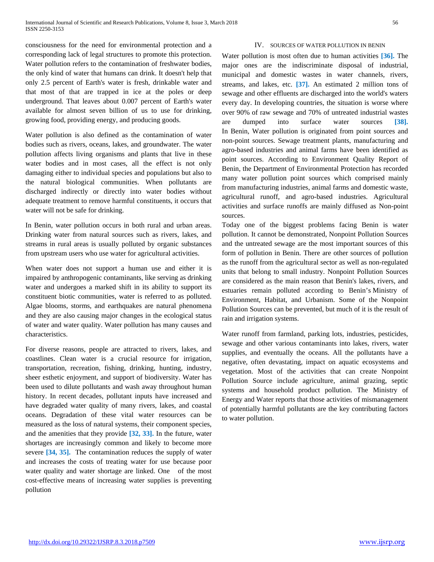consciousness for the need for environmental protection and a corresponding lack of legal structures to promote this protection. Water pollution refers to the contamination of freshwater bodies, the only kind of water that humans can drink. It doesn't help that only 2.5 percent of Earth's water is fresh, drinkable water and that most of that are trapped in ice at the poles or deep underground. That leaves about 0.007 percent of Earth's water available for almost seven billion of us to use for drinking, growing food, providing energy, and producing goods.

Water pollution is also defined as the contamination of water bodies such as rivers, oceans, lakes, and groundwater. The water pollution affects living organisms and plants that live in these water bodies and in most cases, all the effect is not only damaging either to individual species and populations but also to the natural biological communities. When pollutants are discharged indirectly or directly into water bodies without adequate treatment to remove harmful constituents, it occurs that water will not be safe for drinking.

In Benin, water pollution occurs in both rural and urban areas. Drinking water from natural sources such as rivers, lakes, and streams in rural areas is usually polluted by organic substances from upstream users who use water for agricultural activities.

When water does not support a human use and either it is impaired by anthropogenic contaminants, like serving as drinking water and undergoes a marked shift in its ability to support its constituent biotic communities, water is referred to as polluted. Algae blooms, storms, and earthquakes are natural phenomena and they are also causing major changes in the ecological status of water and water quality. Water pollution has many causes and characteristics.

For diverse reasons, people are attracted to rivers, lakes, and coastlines. Clean water is a crucial resource for irrigation, transportation, recreation, fishing, drinking, hunting, industry, sheer esthetic enjoyment, and support of biodiversity. Water has been used to dilute pollutants and wash away throughout human history. In recent decades, pollutant inputs have increased and have degraded water quality of many rivers, lakes, and coastal oceans. Degradation of these vital water resources can be measured as the loss of natural systems, their component species, and the amenities that they provide **[32, 33].** In the future, water shortages are increasingly common and likely to become more severe **[34, 35].** The contamination reduces the supply of water and increases the costs of treating water for use because poor water quality and water shortage are linked. One of the most cost-effective means of increasing water supplies is preventing pollution

## IV. SOURCES OF WATER POLLUTION IN BENIN

Water pollution is most often due to human activities **[36].** The major ones are the indiscriminate disposal of industrial, municipal and domestic wastes in water channels, rivers, streams, and lakes, etc. **[37].** An estimated 2 million tons of sewage and other effluents are discharged into the world's waters every day. In developing countries, the situation is worse where over 90% of raw sewage and 70% of untreated industrial wastes are dumped into surface water sources **[38].** In Benin, Water pollution is originated from point sources and non-point sources. Sewage treatment plants, manufacturing and agro-based industries and animal farms have been identified as point sources. According to Environment Quality Report of Benin, the Department of Environmental Protection has recorded many water pollution point sources which comprised mainly from manufacturing industries, animal farms and domestic waste, agricultural runoff, and agro-based industries. Agricultural activities and surface runoffs are mainly diffused as Non-point sources.

Today one of the biggest problems facing Benin is water pollution. It cannot be demonstrated, Nonpoint Pollution Sources and the untreated sewage are the most important sources of this form of pollution in Benin. There are other sources of pollution as the runoff from the agricultural sector as well as non-regulated units that belong to small industry. Nonpoint Pollution Sources are considered as the main reason that Benin's lakes, rivers, and estuaries remain polluted according to Benin's Ministry of Environment, Habitat, and Urbanism. Some of the Nonpoint Pollution Sources can be prevented, but much of it is the result of rain and irrigation systems.

Water runoff from farmland, parking lots, industries, pesticides, sewage and other various contaminants into lakes, rivers, water supplies, and eventually the oceans. All the pollutants have a negative, often devastating, impact on aquatic ecosystems and vegetation. Most of the activities that can create Nonpoint Pollution Source include agriculture, animal grazing, septic systems and household product pollution. The Ministry of Energy and Water reports that those activities of mismanagement of potentially harmful pollutants are the key contributing factors to water pollution.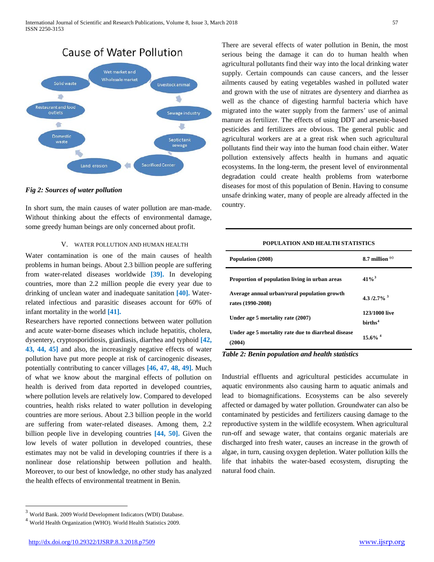

#### *Fig 2: Sources of water pollution*

In short sum, the main causes of water pollution are man-made. Without thinking about the effects of environmental damage, some greedy human beings are only concerned about profit.

## V. WATER POLLUTION AND HUMAN HEALTH

Water contamination is one of the main causes of health problems in human beings. About 2.3 billion people are suffering from water-related diseases worldwide **[39].** In developing countries, more than 2.2 million people die every year due to drinking of unclean water and inadequate sanitation **[40].** Waterrelated infectious and parasitic diseases account for 60% of infant mortality in the world **[41].**

Researchers have reported connections between water pollution and acute water-borne diseases which include hepatitis, cholera, dysentery, cryptosporidiosis, giardiasis, diarrhea and typhoid **[42, 43, 44, 45]** and also, the increasingly negative effects of water pollution have put more people at risk of carcinogenic diseases, potentially contributing to cancer villages **[46, 47, 48, 49].** Much of what we know about the marginal effects of pollution on health is derived from data reported in developed countries, where pollution levels are relatively low. Compared to developed countries, health risks related to water pollution in developing countries are more serious. About 2.3 billion people in the world are suffering from water-related diseases. Among them, 2.2 billion people live in developing countries **[44, 50].** Given the low levels of water pollution in developed countries, these estimates may not be valid in developing countries if there is a nonlinear dose relationship between pollution and health. Moreover, to our best of knowledge, no other study has analyzed the health effects of environmental treatment in Benin.

 $^3$  World Bank. 2009 World Development Indicators (WDI) Database.

There are several effects of water pollution in Benin, the most serious being the damage it can do to human health when agricultural pollutants find their way into the local drinking water supply. Certain compounds can cause cancers, and the lesser ailments caused by eating vegetables washed in polluted water and grown with the use of nitrates are dysentery and diarrhea as well as the chance of digesting harmful bacteria which have migrated into the water supply from the farmers' use of animal manure as fertilizer. The effects of using DDT and arsenic-based pesticides and fertilizers are obvious. The general public and agricultural workers are at a great risk when such agricultural pollutants find their way into the human food chain either. Water pollution extensively affects health in humans and aquatic ecosystems. In the long-term, the present level of environmental degradation could create health problems from waterborne diseases for most of this population of Benin. Having to consume unsafe drinking water, many of people are already affected in the country.

#### **POPULATION AND HEALTH STATISTICS**

| Population (2008)                                                 | 8.7 million $\degree$                |
|-------------------------------------------------------------------|--------------------------------------|
| Proportion of population living in urban areas                    | $41\%^{3}$                           |
| Average annual urban/rural population growth<br>rates (1990-2008) | 4.3/2.7% $3$                         |
| Under age 5 mortality rate (2007)                                 | 123/1000 live<br>hirths <sup>4</sup> |
| Under age 5 mortality rate due to diarrheal disease<br>(2004)     | $15.6\%$ <sup>4</sup>                |

## *Table 2: Benin population and health statistics*

Industrial effluents and agricultural pesticides accumulate in aquatic environments also causing harm to aquatic animals and lead to biomagnifications. Ecosystems can be also severely affected or damaged by water pollution. Groundwater can also be contaminated by pesticides and fertilizers causing damage to the reproductive system in the wildlife ecosystem. When agricultural run-off and sewage water, that contains organic materials are discharged into fresh water, causes an increase in the growth of algae, in turn, causing oxygen depletion. Water pollution kills the life that inhabits the water-based ecosystem, disrupting the natural food chain.

<span id="page-4-0"></span><sup>4</sup> World Health Organization (WHO). World Health Statistics 2009.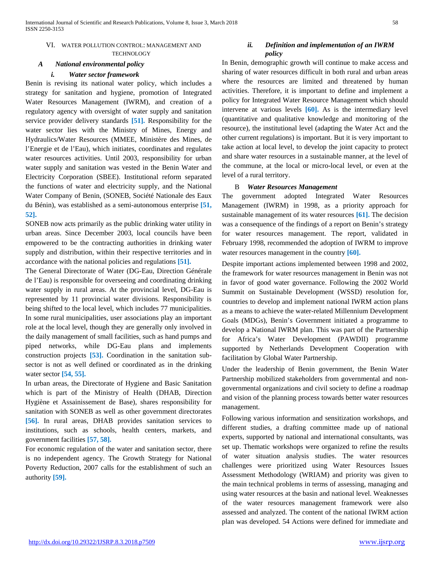## *A National environmental policy*

## *i. Water sector framework*

Benin is revising its national water policy, which includes a strategy for sanitation and hygiene, promotion of Integrated Water Resources Management (IWRM), and creation of a regulatory agency with oversight of water supply and sanitation service provider delivery standards **[51].** Responsibility for the water sector lies with the Ministry of Mines, Energy and Hydraulics/Water Resources (MMEE, Ministère des Mines, de l'Energie et de l'Eau), which initiates, coordinates and regulates water resources activities. Until 2003, responsibility for urban water supply and sanitation was vested in the Benin Water and Electricity Corporation (SBEE). Institutional reform separated the functions of water and electricity supply, and the National Water Company of Benin, (SONEB, Société Nationale des Eaux du Bénin), was established as a semi-autonomous enterprise **[51, 52].**

SONEB now acts primarily as the public drinking water utility in urban areas. Since December 2003, local councils have been empowered to be the contracting authorities in drinking water supply and distribution, within their respective territories and in accordance with the national policies and regulations **[51].**

The General Directorate of Water (DG-Eau, Direction Générale de l'Eau) is responsible for overseeing and coordinating drinking water supply in rural areas. At the provincial level, DG-Eau is represented by 11 provincial water divisions. Responsibility is being shifted to the local level, which includes 77 municipalities. In some rural municipalities, user associations play an important role at the local level, though they are generally only involved in the daily management of small facilities, such as hand pumps and piped networks, while DG-Eau plans and implements construction projects **[53].** Coordination in the sanitation subsector is not as well defined or coordinated as in the drinking water sector **[54, 55].**

In urban areas, the Directorate of Hygiene and Basic Sanitation which is part of the Ministry of Health (DHAB, Direction Hygiène et Assainissement de Base), shares responsibility for sanitation with SONEB as well as other government directorates **[56].** In rural areas, DHAB provides sanitation services to institutions, such as schools, health centers, markets, and government facilities **[57, 58].**

For economic regulation of the water and sanitation sector, there is no independent agency. The Growth Strategy for National Poverty Reduction, 2007 calls for the establishment of such an authority **[59].**

## *ii. Definition and implementation of an IWRM policy*

In Benin, demographic growth will continue to make access and sharing of water resources difficult in both rural and urban areas where the resources are limited and threatened by human activities. Therefore, it is important to define and implement a policy for Integrated Water Resource Management which should intervene at various levels **[60].** As is the intermediary level (quantitative and qualitative knowledge and monitoring of the resource), the institutional level (adapting the Water Act and the other current regulations) is important. But it is very important to take action at local level, to develop the joint capacity to protect and share water resources in a sustainable manner, at the level of the commune, at the local or micro-local level, or even at the level of a rural territory.

#### B *Water Resources Management*

The government adopted Integrated Water Resources Management (IWRM) in 1998, as a priority approach for sustainable management of its water resources **[61].** The decision was a consequence of the findings of a report on Benin's strategy for water resources management. The report, validated in February 1998, recommended the adoption of IWRM to improve water resources management in the country **[60].**

Despite important actions implemented between 1998 and 2002, the framework for water resources management in Benin was not in favor of good water governance. Following the 2002 World Summit on Sustainable Development (WSSD) resolution for, countries to develop and implement national IWRM action plans as a means to achieve the water-related Millennium Development Goals (MDGs), Benin's Government initiated a programme to develop a National IWRM plan. This was part of the Partnership for Africa's Water Development (PAWDII) programme supported by Netherlands Development Cooperation with facilitation by Global Water Partnership.

Under the leadership of Benin government, the Benin Water Partnership mobilized stakeholders from governmental and nongovernmental organizations and civil society to define a roadmap and vision of the planning process towards better water resources management.

Following various information and sensitization workshops, and different studies, a drafting committee made up of national experts, supported by national and international consultants, was set up. Thematic workshops were organized to refine the results of water situation analysis studies. The water resources challenges were prioritized using Water Resources Issues Assessment Methodology (WRIAM) and priority was given to the main technical problems in terms of assessing, managing and using water resources at the basin and national level. Weaknesses of the water resources management framework were also assessed and analyzed. The content of the national IWRM action plan was developed. 54 Actions were defined for immediate and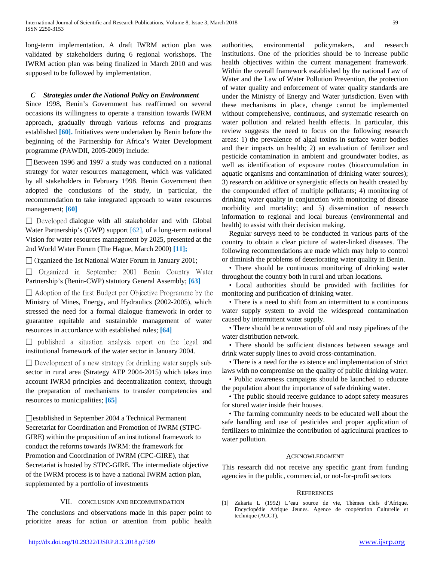long-term implementation. A draft IWRM action plan was validated by stakeholders during 6 regional workshops. The IWRM action plan was being finalized in March 2010 and was supposed to be followed by implementation.

## *C Strategies under the National Policy on Environment*

Since 1998, Benin's Government has reaffirmed on several occasions its willingness to operate a transition towards IWRM approach, gradually through various reforms and programs established **[60].** Initiatives were undertaken by Benin before the beginning of the Partnership for Africa's Water Development programme (PAWDII, 2005-2009) include:

Between 1996 and 1997 a study was conducted on a national strategy for water resources management, which was validated by all stakeholders in February 1998. Benin Government then adopted the conclusions of the study, in particular, the recommendation to take integrated approach to water resources management; **[60]**

 $\Box$  Developed dialogue with all stakeholder and with Global Water Partnership's (GWP) support [62], of a long-term national Vision for water resources management by 2025, presented at the 2nd World Water Forum (The Hague, March 2000) **[11];**

 $\Box$  Organized the 1st National Water Forum in January 2001;

 $\Box$  Organized in September 2001 Benin Country Water Partnership's (Benin-CWP) statutory General Assembly; **[63]**

 $\Box$  Adoption of the first Budget per Objective Programme by the Ministry of Mines, Energy, and Hydraulics (2002-2005), which stressed the need for a formal dialogue framework in order to guarantee equitable and sustainable management of water resources in accordance with established rules; **[64]**

 $\Box$  published a situation analysis report on the legal and institutional framework of the water sector in January 2004.

 $\Box$  Development of a new strategy for drinking water supply subsector in rural area (Strategy AEP 2004-2015) which takes into account IWRM principles and decentralization context, through the preparation of mechanisms to transfer competencies and resources to municipalities; **[65]**

□established in September 2004 a Technical Permanent Secretariat for Coordination and Promotion of IWRM (STPC-GIRE) within the proposition of an institutional framework to conduct the reforms towards IWRM: the framework for Promotion and Coordination of IWRM (CPC-GIRE), that Secretariat is hosted by STPC-GIRE. The intermediate objective of the IWRM process is to have a national IWRM action plan, supplemented by a portfolio of investments

## VII. CONCLUSION AND RECOMMENDATION

The conclusions and observations made in this paper point to prioritize areas for action or attention from public health authorities, environmental policymakers, and research institutions. One of the priorities should be to increase public health objectives within the current management framework. Within the overall framework established by the national Law of Water and the Law of Water Pollution Prevention, the protection of water quality and enforcement of water quality standards are under the Ministry of Energy and Water jurisdiction. Even with these mechanisms in place, change cannot be implemented without comprehensive, continuous, and systematic research on water pollution and related health effects. In particular, this review suggests the need to focus on the following research areas: 1) the prevalence of algal toxins in surface water bodies and their impacts on health; 2) an evaluation of fertilizer and pesticide contamination in ambient and groundwater bodies, as well as identification of exposure routes (bioaccumulation in aquatic organisms and contamination of drinking water sources); 3) research on additive or synergistic effects on health created by the compounded effect of multiple pollutants; 4) monitoring of drinking water quality in conjunction with monitoring of disease morbidity and mortality; and 5) dissemination of research information to regional and local bureaus (environmental and health) to assist with their decision making.

Regular surveys need to be conducted in various parts of the country to obtain a clear picture of water-linked diseases. The following recommendations are made which may help to control or diminish the problems of deteriorating water quality in Benin.

• There should be continuous monitoring of drinking water throughout the country both in rural and urban locations.

• Local authorities should be provided with facilities for monitoring and purification of drinking water.

• There is a need to shift from an intermittent to a continuous water supply system to avoid the widespread contamination caused by intermittent water supply.

• There should be a renovation of old and rusty pipelines of the water distribution network.

• There should be sufficient distances between sewage and drink water supply lines to avoid cross-contamination.

• There is a need for the existence and implementation of strict laws with no compromise on the quality of public drinking water.

• Public awareness campaigns should be launched to educate the population about the importance of safe drinking water.

• The public should receive guidance to adopt safety measures for stored water inside their houses.

• The farming community needs to be educated well about the safe handling and use of pesticides and proper application of fertilizers to minimize the contribution of agricultural practices to water pollution.

## ACKNOWLEDGMENT

This research did not receive any specific grant from funding agencies in the public, commercial, or not-for-profit sectors

#### **REFERENCES**

[1] Zakaria L (1992) L'eau source de vie, Thèmes clefs d'Afrique. Encyclopédie Afrique Jeunes. Agence de coopération Culturelle et technique (ACCT),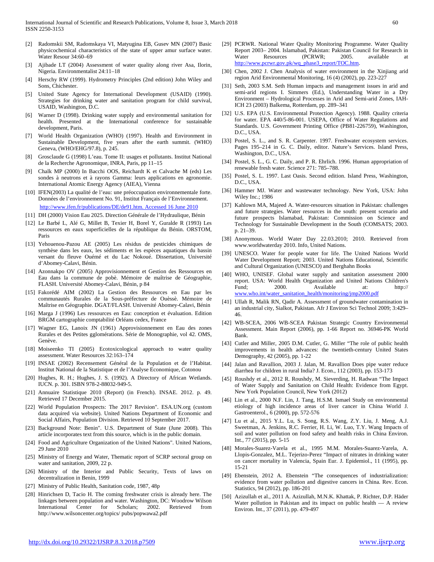- Ajibade LT (2004) Assessment of water quality along river Asa, Ilorin, Nigeria. Environmentalist 24:11–18
- [4] Herschy RW (1999). Hydrometry Principles (2nd edition) John Wiley and Sons, Chichester.
- [5] United State Agency for International Development (USAID) (1990). Strategies for drinking water and sanitation program for child survival, USAID, Washington, D.C.
- Warner D (1998). Drinking water supply and environmental sanitation for health. Presented at the International conference for sustainable development, Paris.
- [7] World Health Organization (WHO) (1997). Health and Environment in Sustainable Development, five years after the earth summit. (WHO) Geneva, (WHO/EHG/97.8), p. 245.
- [8] Grosclaude G (1998) L'eau. Tome II: usages et pollutants. Institut National de la Recherche Agronomique, INRA, Paris, pp 11–15
- [9] Chalk MP (2000) In Bacchi OOS, Reichardt K et Calvache M (eds) Les sondes à neutrons et à rayons Gamma: leurs applications en agronomie. International Atomic Energy Agency (AIEA), Vienna
- [10] IFEN(2003) La qualité de l'eau: une préoccupation environnementale forte. Données de l'environnement No. 91, Institut Français de l'Environnement. [http://www.ifen.fr/publications/DE/de91.htm. Accessed 16 June 2010](http://www.ifen.fr/publications/DE/de91.htm.%20Accessed%2016%20June%202010)
- [11] DH (2000) Vision Eau 2025. Direction Générale de l'Hydraulique, Bénin
- [12] Le Barbé L, Alé G, Millet B, Texier H, Borel Y, Guralde R (1993) Les ressources en eaux superficielles de la république du Bénin. ORSTOM, Paris
- [13] Yehouenou-Pazou AE (2005) Les résidus de pesticides chimiques de synthèse dans les eaux, les sédiments et les espèces aquatiques du bassin versant du fleuve Ouémé et du Lac Nokoué. Dissertation, Université d'Abomey-Calavi, Bénin.
- [14] Azonnakpo OV (2005) Approvisionnement et Gestion des Ressources en Eau dans la commune de pobè. Mémoire de maîtrise de Géographie, FLASH. Université Abomey-Calavi, Bénin, p 84
- [15] Fakorédé AIM (2002) La Gestion des Ressources en Eau par les communautés Rurales de la Sous-préfecture de Ouèssè. Mémoire de Maîtrise en Géographie. DGAT/FLASH. Université Abomey-Calavi, Bénin
- [16] Marga J (1996) Les ressources en Eau: conception et évaluation. Edition BRGM cartographie comptabilité Orléans cedex, France
- [17] Wagner EG, Lanoix JN (1961) Approvisionnement en Eau des zones Rurales et des Petites gglomérations. Série de Monographie, vol 42. OMS, Genève.
- [18] Moiseenko TI (2005) Ecotoxicological approach to water quality assessment. Water Resources 32:163–174
- [19] INSAE (2002) Recensement Général de la Population et de l'Habitat. Institut National de la Statistique et de l'Analyse Economique, Cotonou
- [20] Hughes, R. H.; Hughes, J. S. (1992). A Directory of African Wetlands. IUCN. p. 301. ISBN 978-2-88032-949-5.
- [21] Annuaire Statistique 2010 (Report) (in French). INSAE. 2012. p. 49. Retrieved 17 December 2015.
- [22] World Population Prospects: The 2017 Revision". ESA.UN.org (custom data acquired via website). United Nations Department of Economic and Social Affairs, Population Division. Retrieved 10 September 2017.
- [23] Background Note: Benin". U.S. Department of State (June 2008). This article incorporates text from this source, which is in the public domain.
- [24] Food and Agriculture Organization of the United Nations". United Nations, 29 June 2010
- [25] Ministry of Energy and Water, Thematic report of SCRP sectoral group on water and sanitation, 2009, 22 p.
- [26] Ministry of the Interior and Public Security, Texts of laws on decentralization in Benin, 1999
- [27] Ministry of Public Health, Sanitation code, 1987, 48p
- [28] Hinrichsen D, Tacio H. The coming freshwater crisis is already here. The linkages between population and water. Washington, DC: Woodrow Wilson International Center for Scholars; 2002. Retrieved from http://www.wilsoncenter.org/topics/ pubs/popwawa2.pdf
- [29] PCRWR. National Water Quality Monitoring Programme. Water Quality Report 2003– 2004. Islamabad, Pakistan: Pakistan Council for Research in Water Resources (PCRWR; 2005. available at [http://www.pcrwr.gov.pk/wq\\_phase3\\_report/TOC.htm.](http://www.pcrwr.gov.pk/wq_phase3_report/TOC.htm)
- [30] Chen, 2002 J. Chen Analysis of water environment in the Xinjiang arid region Arid Environmental Monitoring, 16 (4) (2002), pp. 223-227
- [31] Seth, 2003 S.M. Seth Human impacts and management issues in arid and semi-arid regions I. Simmers (Ed.), Understanding Water in a Dry Environment – Hydrological Processes in Arid and Semi-arid Zones, IAH-ICH 23 (2003) Balkema, Rotterdam, pp. 289–341
- [32] U.S. EPA (U.S. Environmental Protection Agency). 1988. Quality criteria for water. EPA 440/5-86-001. USEPA, Office of Water Regulations and Standards. U.S. Government Printing Office (PB81-226759), Washington, D.C., USA.
- [33] Postel, S. L., and S. R. Carpenter. 1997. Freshwater ecosystem services. Pages 195–214 in G. C. Daily, editor. Nature's Services. Island Press, Washington, D.C., USA.
- [34] Postel, S. L., G. C. Daily, and P. R. Ehrlich. 1996. Human appropriation of renewable fresh water. Science 271: 785–788.
- [35] Postel, S. L. 1997. Last Oasis. Second edition. Island Press, Washington, D.C., USA.
- [36] Hammer MJ. Water and wastewater technology. New York, USA: John Wiley Inc.; 1986
- [37] Kahlown MA, Majeed A. Water-resources situation in Pakistan: challenges and future strategies. Water resources in the south: present scenario and future prospects Islamabad, Pakistan: Commission on Science and Technology for Sustainable Development in the South (COMSATS; 2003. p. 21–39.
- [38] Anonymous. World Water Day 22.03.2010; 2010. Retrieved from www.worldwaterday 2010. Info, United Nations.
- [39] UNESCO. Water for people water for life. The United Nations World Water Development Report; 2003. United Nations Educational, Scientific and Cultural Organization (UNESCO) and Berghahn Books
- [40] WHO, UNISEF. Global water supply and sanitation assessment 2000 report. USA: World Health Organization and United Nations Children's Fund; 2000. Available at: http:// [www.who.int/water\\_sanitation\\_health/monitoring/jmp2000.pdf](http://www.who.int/water_sanitation_health/monitoring/jmp2000.pdf)
- [41] Ullah R, Malik RN, Qadir A. Assessment of groundwater contamination in an industrial city, Sialkot, Pakistan. Afr J Environ Sci Technol 2009; 3:429– 46.
- [42] WB-SCEA, 2006 WB-SCEA Pakistan Strategic Country Environmental Assessment. Main Report (2006), pp. 1-66 Report no. 36946-PK World Bank.
- [43] Cutler and Miller, 2005 D.M. Cutler, G. Miller "The role of public health improvements in health advances: the twentieth-century United States Demography, 42 (2005), pp. 1-22
- [44] Jalan and Ravallion, 2003 J. Jalan, M. Ravallion Does pipe water reduce diarrhea for children in rural India? J. Econ., 112 (2003), pp. 153-173
- [45] Roushdy et al., 2012 R. Roushdy, M. Sieverding, H. Radwan "The Impact of Water Supply and Sanitation on Child Health: Evidence from Egypt. New York Population Council, New York (2012)
- [46] Lin et al., 2000 N.F. Lin, J. Tang, H.S.M. Ismael Study on environmental etiology of high incidence areas of liver cancer in China World J. Gastroenterol., 6 (2000), pp. 572-576
- [47] Lu et al., 2015 Y.L. Lu, S. Song, R.S. Wang, Z.Y. Liu, J. Meng, A.J. Sweetman, A. Jenkins, R.C. Ferrier, H. Li, W. Luo, T.Y. Wang Impacts of soil and water pollution on food safety and health risks in China Environ. Int., 77 (2015), pp. 5-15
- [48] Morales-Suarez-Varela et al., 1995 M.M. Morales-Suarez-Varela, A. Llopis-Gonzalez, M.L. Tejerizo-Perez "Impact of nitrates in drinking water on cancer mortality in Valencia, Spain Eur. J. Epidemiol., 11 (1995), pp. 15-21
- [49] Ebenstein, 2012 A. Ebenstein "The consequences of industrialization: evidence from water pollution and digestive cancers in China. Rev. Econ. Statistics, 94 (2012), pp. 186-201
- [50] Azizullah et al., 2011 A. Azizullah, M.N.K. Khattak, P. Richter, D.P. Häder Water pollution in Pakistan and its impact on public health — A review Environ. Int., 37 (2011), pp. 479-497